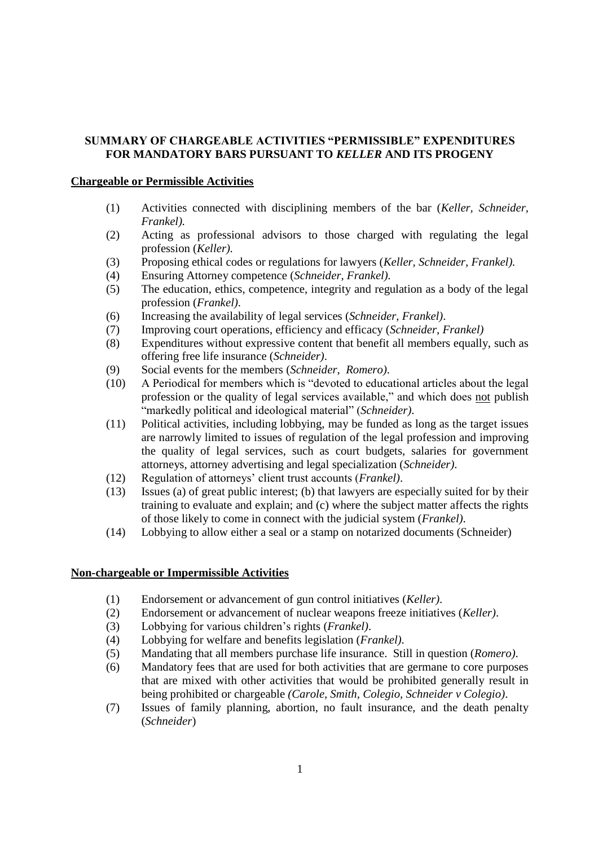## **SUMMARYOFCHARGEABLEACTIVITIES"PERMISSIBLE"EXPENDITURES FOR MANDATORY BARS PURSUANT TO** *KELLER* **AND ITS PROGENY**

## **Chargeable or Permissible Activities**

- (1) Activities connected with disciplining members of the bar (*Keller, Schneider, Frankel).*
- (2) Acting as professional advisors to those charged with regulating the legal profession (*Keller).*
- (3) Proposing ethical codes or regulations for lawyers (*Keller, Schneider, Frankel).*
- (4) Ensuring Attorney competence (*Schneider, Frankel).*
- (5) The education, ethics, competence, integrity and regulation as a body of the legal profession (*Frankel)*.
- (6) Increasing the availability of legal services (*Schneider, Frankel)*.
- (7) Improving court operations, efficiency and efficacy (*Schneider, Frankel)*
- (8) Expenditures without expressive content that benefit all members equally, such as offering free life insurance (*Schneider)*.
- (9) Social events for the members (*Schneider, Romero)*.
- $(10)$  A Periodical for members which is "devoted to educational articles about the legal profession or the quality of legal services available," and which does not publish "markedly political and ideological material" (*Schneider*).
- (11) Political activities, including lobbying, may be funded as long as the target issues are narrowly limited to issues of regulation of the legal profession and improving the quality of legal services, such as court budgets, salaries for government attorneys, attorney advertising and legal specialization (*Schneider)*.
- (12) Regulation of attorneys' client trust accounts (*Frankel*).
- (13) Issues (a) of great public interest; (b) that lawyers are especially suited for by their training to evaluate and explain; and (c) where the subject matter affects the rights of those likely to come in connect with the judicial system (*Frankel)*.
- (14) Lobbying to allow either a seal or a stamp on notarized documents (Schneider)

## **Non-chargeable or Impermissible Activities**

- (1) Endorsement or advancement of gun control initiatives (*Keller)*.
- (2) Endorsement or advancement of nuclear weapons freeze initiatives (*Keller)*.
- (3) Lobbying for various children's rights (*Frankel*).
- (4) Lobbying for welfare and benefits legislation (*Frankel)*.
- (5) Mandating that all members purchase life insurance. Still in question (*Romero)*.
- (6) Mandatory fees that are used for both activities that are germane to core purposes that are mixed with other activities that would be prohibited generally result in being prohibited or chargeable *(Carole, Smith, Colegio, Schneider v Colegio)*.
- (7) Issues of family planning, abortion, no fault insurance, and the death penalty (*Schneider*)